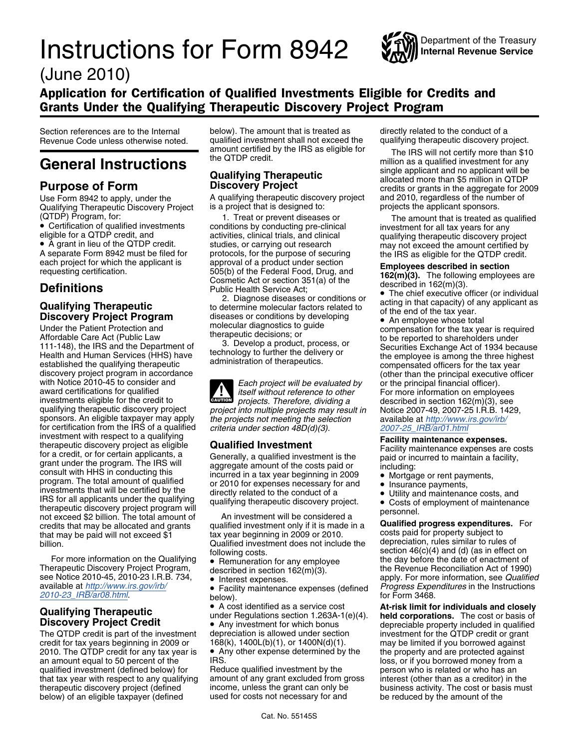## Userid: SD\_ZR2MB DTD instrx Leadpct: 0% Pt. size: 9 ❏ Draft ❏ Ok to Print PAGER/XML Fileid: ...sers\zr2mb\documents\8942\10i8942\_possible changes\_06062010.xml (Init. & date) Page 1 of 5 Instructions for Form 8942 (June 2010) 17:12 - 16-JUN-2010

*The type and rule above prints on all proofs including departmental reproduction proofs. MUST be removed before printing.*

# **Instructions for Form 8942** (June 2010)



Department of the Treasury<br>Internal Revenue Service

### Application for Certification of Qualified Investments Eligible for Credits and Grants Under the Qualifying Therapeutic Discovery Project Program

Section references are to the Internal below). The amount that is treated as directly related to the conduct of a

Use Form 8942 to apply, under the<br>Qualifying Therapeutic Discovery Project

• A grant in lieu of the QTDP credit.

Under the Patient Protection and molecular diagnostics to guide<br>
Affordable Care Act (Public Law therapeutic decisions; or<br>
111-148), the IRS and the Department of 3. Develop a product, process, or<br>
Health and Human Servic discovery project program in accordance<br>with Notice [2010-45 to consider a](http://www.irs.gov/irb/2010-23_IRB/ar08.html)nd<br>award certifications for qualified<br>award certifications for qualified<br>award certifications for qualified<br>award certifications for qualified<br>award sponsors. An eligible taxpayer may apply the projects not meeting the selection<br>for certification from the IRS of a qualified criteria under section 48D(d)(3).<br>investment with respect to a qualifying **Example 2007-25** IRB investment with respect to a qualifying<br>therapeutic discovery project as eligible<br>grant under the program. The IRS will<br>grant under the program. The IRS will<br>grant under the program. The IRS will<br>grant under the program. T For the rapeutic discovery project program will<br>not exceed \$2 billion. The total amount of<br>credits that may be allocated and grants qualified investment only if it is made in a<br>that may be paid will not exceed \$1 tax year billion. The department does not include the department does not include the department of billion.

ror more information on the Qualifying • Remuneration for any employee the day before the date of enactment of<br>Therapeutic Discovery Project Program, described in section 162(m)(3). the Revenue Reconciliation Act of 1990)<br> available at *http://www.irs.gov/irb/*<br>2010-23\_IRB/ar08.html **Progress Expenditures** in the Instructions **•** Facility maintenance expenses (defined *Progress Expenditures* in the Instructions for Form 3468.

credit for tax years beginning in 2009 or 168(k), 1400L(b)(1), or 1400N(d)(1). may be limited if you borrowed against 2010. The QTDP credit for any tax year is  $\quad \bullet \,$  Any other expense determined by the the property and are protected against an amount equal to 50 percent of the IRS. IRS. In the IRS of the Internal operation of the IRS. qualified investment (defined below) for Beduce qualified investment by the person who is related or who has an The QTDP credit for any tax year is that the property and are protected against<br>an amount equal to 50 percent of the IRS.<br>qualified investment (defined below) for Reduce qualified investment by the specific any qualifying below) of an eligible taxpayer (defined

Revenue Code unless otherwise noted. qualified investment shall not exceed the qualifying therapeutic discovery project. amount certified by the IRS as eligible for The IRS will not certify more than \$10

A qualifying therapeutic discovery project<br>is a project that is designed to:

eligible for a QTDP credit, and<br>
• A grant in lieu of the QTDP credit.<br>
A separate Form 8942 must be filed for<br>
each project studies, or carrying out research<br>
A separate Form 8942 must be filed for<br>
each project for whic

**Qualifying Therapeutic**<br> **Discovery Project Program**<br>
Under the Patient Protection and<br>
Under the Patient Protection and<br>
Under the Patient Protection and<br>
Under the Patient Protection and<br>
Under the Patient Protection an

[award certifications for q](http://www.irs.gov/irb/2010-23_IRB/ar08.html)ualified<br>investments eligible for the credit to<br>qualifying therapeutic discovery project<br>project into multiple projects may result in<br>projects may result in<br>Notice 2007-49, 2007-25 I.R.B. 1429, award certifications for qualified<br>investments eligible for the credit to *projects. Therefore, dividing a* described in section 162(m)(3), see qualifying therapeutic discovery project *project into multiple projects may result in* Notice 2007-49, 2007-25 I.R.B. 1429,

tax year beginning in 2009 or 2010. costs paid for property subject to<br>Qualified investment does not include the depreciation, rules similar to rules of

■ Facility maintenance expenses (defined *Progress Expenditures* in the Instructions<br>below). for Form 3468.<br>■ A cost identified as a service cost **At-risk limit for individuals and closely** 

• A cost identified as a service cost

The QTDP credit is part of the investment depreciation is allowed under section investment for the QTDP credit or grant credit or grant of the QTDP credit or grant credit or grant of the QTDP credit or grant credit for th

income, unless the grant can only be business activity. The cost or basis must used for costs not necessary for and be reduced by the amount of the

amount certified by the IRS as eligible for<br>
the QTDP credit.<br>
Qualifying Therapeutic<br>
allocated more than \$5 million in QTDP<br>
allocated more than \$5 million in QTDP **Purpose of Form**<br>
Use Form 8942 to apply, under the **Discovery Project**<br>
Qualifying therapeutic discovery project and 2010, regardless of the number of<br>
Qualifying Therapeutic Discovery Project is a project that is design

(QTDP) Program, for: 1. Treat or prevent diseases or The amo[unt](http://www.irs.gov/irb/2007-25_IRB/ar01.html) [that](http://www.irs.gov/irb/2007-25_IRB/ar01.html) [is](http://www.irs.gov/irb/2007-25_IRB/ar01.html) [treated](http://www.irs.gov/irb/2007-25_IRB/ar01.html) [as](http://www.irs.gov/irb/2007-25_IRB/ar01.html) [q](http://www.irs.gov/irb/2007-25_IRB/ar01.html)ualified<br>● Certification of qualified [investment](http://www.irs.gov/irb/2007-25_IRB/ar01.html)s conditions by conducting pre-clinical investment [for](http://www.irs.gov/irb/2007-25_IRB/ar01.html) [all](http://www.irs.gov/irb/2007-25_IRB/ar01.html) [tax](http://www.irs.gov/irb/2007-25_IRB/ar01.html) [ye](http://www.irs.gov/irb/2007-25_IRB/ar01.html)ars for any<br>eligible for

• An employee whose total<br>compensation for the tax year is required discover than the principal executive officer<br>(other than the principal executive officer<br>or the principal financial officer).

- 
- 
- 

following costs.<br>
• Remuneration for any employee the day before the date of enactment of  $\frac{1}{2}$ . For more information on the Qualifying  $\overline{ }$  Remuneration for any employee the day before the date of enactment of erapeutic Discovery Project Program, described in section 162(m)(3). described in section 162(m)(3). The Revenue Reconciliation Act of 1990)<br>
• Interest expenses. apply. For more information, see *Qualified* 

**Qualifying Therapeutic**<br> **CONFIGUATE:** The CONFIDENTIAL CONFIDENCY CONFIDENT OF THE CONFIDENTIAL OF THE CONFIDENT OF THE CONFIDENT OF THE CONFIDENTIAL THE CONFIDENTIAL THE CONFIDENTIAL THE CONFIDENTIAL THE CONFIDENTIAL TH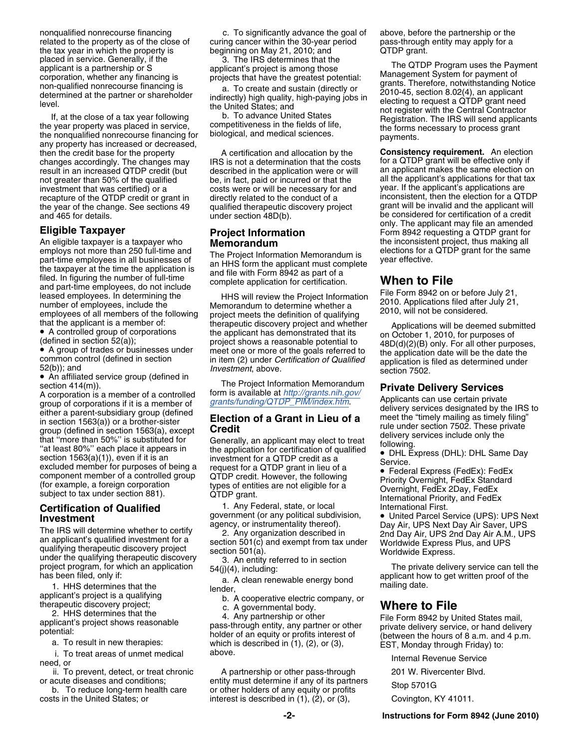nonqualified nonrecourse financing c. To significantly advance the goal of above, before the partnership or the<br>related to the property as of the close of curing cancer within the 30-year period pass-through entity may app the tax year in which the property is beginning on May 21, 2010; and **QTDP** grant.

then the credit base for the property **A** certification and allocation by the **Consistency requirement.** An election changes accordingly. The changes may IRS is not a determination that the costs for a QTDP grant will be e changes accordingly. The changes may for a determination that the costs result in an increased QTDP credit (but described in the application were or will result in an increased QTDP credit (but described in the application were or will an applicant makes the same election on not greater than 50% of the qualified be, in fact, paid or incurred or that the all the applicant's not greater than 50% of the qualified be, in fact, paid or incurred or that the all the applicant's applications for that tax<br>investment that was certified) or a costs were or will be necessary for and year. If the applica recapture of the QTDP credit or grant in [directly related to the conduct of a](http://grants.nih.gov/grants/funding/QTDP_PIM/index.htm) inconsistent, then the election for a QTDF<br>the year of the change. See sections 49 aualified therapeutic discovery project grant will be invalid the year of the change. See sections 49 qualified therapeutic discovery project grant will be invalid and the applicant will and 465 for details. under section 48D(b). be considered for certification of a credit

An eligible taxpayer is a taxpayer who **Memorandum**<br>employs not more than 250 full-time and **The Project Inform** employs not more than 250 full-time and<br>part-time employees in all businesses of<br>the the time the application. The Project Information Memorandum is<br>filed. In figuring the number of full-time<br>and part-time employees, do no

• An affiliated service group (defined in

section 414(m)).<br>
A corporation is a member of a controlled form is available at *http://grants.nih.gov/*<br>
group of corporations if it is a member of *grants/funding/QTDP\_PIM/index.htm*.<br>
either a parent-subsidiary group ( group of corporations if it is a member of  $\frac{1}{16}$  in section 1563(a)) or a brother-sister<br>in section 1563(a), except<br>that "more than 50%" is substituted for the application of a Grant in Lieu of a<br>section 1563(a), exc section 1563(a)(1)), even if it is an investment for a QTDP credit as a excluded member for purposes of being a request for a QTDP grant in lieu of a  $\bullet$  Feder component member of a controlled group  $\bullet$  Feder  $\bullet$  Feder

**Investment**<br>
The IRS will determine whether to certify<br>
agency, or instrumentality thereof).<br>
an applicant's qualified investment for a<br>
an applicant's qualified investment for a<br>
qualifying therapeutic discovery project<br>

has been filed, only if:<br>
1. HHS determines that the<br>
applicant's project is a qualifying<br>
therapeutic discovery project;<br>
therapeutic discovery project;<br>
c. A governmental body.<br>
C. A governmental body.<br>
Let a governmenta

a. To result in new therapies: which is described in (1), (2), or (3), https://est.monday through Friday) to:<br>i. To treat areas of unmet medical above. htternal Revenue Service need, or

related to the property as of the close of curing cancer within the 30-year period pass-through entity may apply for a

A controlled group of corporations the applicant has demonstrated that its  $\bullet$  A controlled group of corporations of the applicant has demonstrated that its (defined in section 52(a)); project shows a reasonable potentia • A group of trades or businesses under<br>
common control (defined in section<br>
fraction control (defined in section<br>
fraction control (defined in section<br>
fraction control (defined in section<br>
fraction control (defined in se

ii. To prevent, detect, or treat chronic antital must determine if any of its partners 201 W. Rivercenter Blvd.<br>ii. To prevent, detect, or treat chronic antition and determine if any of its partners or acute diseases and conditions; entity must determine if any of its partners<br>b. To reduce long-term health care or other holders of any equity or profits<br>costs in the United States; or interest is described in (1), (2), or other holders of any equity or profits<br>interest is described in (1), (2), or (3),

placed in service. Generally, if the<br>
applicant's projects that have the greatest potential:<br>
corporation, whether any financing is<br>
corporation, whether any financing is<br>
determined at the partner or shareholder<br>
indirect

costs were or will b[e necessary for and](http://grants.nih.gov/grants/funding/QTDP_PIM/index.htm) year. If the applicant's applications are directly related to the conduct of a **Cligible Taxpayer**<br>An eligible taxpayer is a taxpayer who **Project Information**<br>
An eligible taxpayer is a taxpayer who **Memorandum** and **Elections** the inconsistent project, thus making all<br>
elections for a QTDP grant fo

excluded member for purposes of being a<br>
component member of a controlled group<br>
(for example, a foreign corporation<br>
subject to tax under section 881). <br> **Certification of Qualified**<br> **Certification of Qualified**<br>
The IPS

2. HHS determines that the the the states we applicant's project shows reasonable the states pass-through entity, any partner or other the Form 8942 by United States mail, applicant's project shows reasonable pass-through

**-2- Instructions for Form 8942 (June 2010)**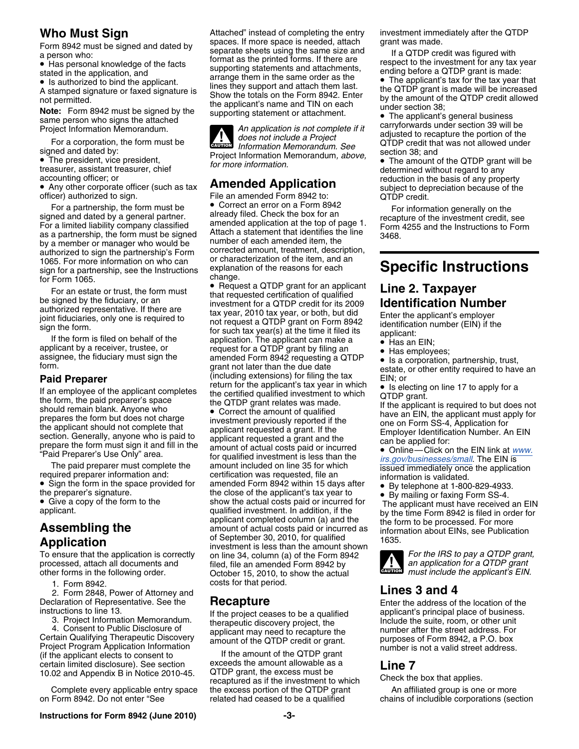sign for a partnership, see the Instructions explanation of the reasons for each sign for a partnership, see the Instructions explanation of the reasons for each **Specific Instructions**<br>for Form 1065.<br>For an estate or trus

If an employee of the applicant completes<br>the certified qualified investment to which<br>the CTDP grant.<br>should remain blank. Anyone who<br>prepares the form but does not charge<br>the applicant should not complete that<br>the applica

2. Form 2848, Power of Attorney and<br>
2. Form 2848, Power of Attorney and<br>
claration of Representative. See the **Recapture Constant Constant Constant Constant Constant Constant Constant** 

3. Project Information Memorandum.<br>
4. Consent to Public Disclosure of applicant may need to recapture the<br>
Certain Qualifying Therapeutic Discovery<br>
Certain Qualifying Therapeutic Discovery<br>
Certain Qualifying Therapeutic Certain Qualifying Therapeutic Discovery a mount of the QTDP credit or grant. purposes of Form 8942, a P.O. box<br>Project Program Application Information and If the amount of the QTDP grant number is not a valid street addre certain limited disclosure). See section exceeds the amount allowable as a **Line 7**

on Form 8942. Do not enter "See related had ceased to be a qualified chains of includible corporations (section

**Who Must Sign**<br>
Form 8942 must be signed and dated by<br> **Example 10** separate shape using the same airs and<br> **Example 10** separate shape using the same airs and Form 8942 must be signed and dated by<br>a person who:<br>• Has personal knowledge of the facts<br>beta using the same size and<br>the respect to the investment for any tax year<br>stated in the annication and<br>stated in the annication an • Is added to bind the applicant.<br>
A stamped in the applicant of faxed signature is<br>
A stamped by the increased<br>
Show the totals on the Form 8942. Enter<br>
The QTDP grant is made will be increased<br>
the applicant's name and T

**CAUTION !** signed and dated by:<br>• The president, vice president, *section 38;* and project Information Memorandum, *above*, • The amount of the QTDP grant will be

For a partnership, the form must be<br>signed and dated by a general partner.<br>For a limited liability company classified<br>and partnership are already filed. Check the box for an<br>expected are a partnership, the form must be sig

• Request a QTDP grant for an applicant For an estate or trust, the form must<br>be signed by the fiduciary, or an<br>authorized representative. If there are<br>joint fiduciaries, only one is required to<br>joint fiduciaries, only one is required to<br>sign the form.<br>If the f He form is med on behan of the application. The applicant can make a wave Has an EIN;<br>applicant by a receiver, trustee, or request for a QTDP grant by filing an wave Has employ applicant by a receiver, trustee, or a request for a QTDP grant by filling an apployees;<br>assignee, the fiduciary must sign the amended Form 8942 requesting a QTDP • Is a corporation. assignee, the fiduciary must sign the amended Form  $8942$  requesting a QTDP  $\bullet$  is a corporation, partnership, trust,<br>form.<br>**Paid Prenarer** (including extensions) for filing the tax  $\bullet$  is a corporation, partnership, tr **Paid Preparer**<br> **Paid Preparer** (including extensions) for filling the tax EIN; or<br>
If an employee of the applicant completes the certified qualified investment to which or DP grapt prepares the torm but does not charge<br>the applicant should not complete that<br>section. Generally, anyone who is paid to<br>prepare the form must sign it and fill in the<br>"Paid Preparer's Use Only" area. for qualified investment of the form must sign it and fill in the amount of actual costs paid or incurred<br>
"Paid Preparer's Use Only" area.<br>
The paid preparer must complete the amount included on line 35 for which<br>
The paid preparer must complete The paid preparer must complete the amount included on line 35 for which issued immediately once the application required preparer information and: certification was requested, file an information is validated.<br>
• Sign the • Sign the form in the space provided for amended Form 8942 within 15 days after  $\bullet$ Sign the form in the space provided for a amended Form 8942 within 15 days after explore at 1-800-829-4933.<br>The preparer's signature. the close of the applicant's tax year to explore at 1-800-829-4933.<br>Clive a copy of the • Give a copy of the form to the show the actual costs paid or incurred for The applicant must have received an EIN qualified investment. In addition, if the by the time Form 8942 is filed in order for applicant completed To ensure that the application is correctly on line 34, column (a) of the Form 8942 *For the IRS to pay a QTDP grant,*<br>processed, attach all documents and filed, file an amended Form 8942 by an application for a QTDP grant processed, attach all documents and **an an and an an application for a quality of a quality of a quality of the application for a QTDP grant** other forms in the following order. Corober 15, 2010, to show the actual **counte** other forms in the following order. *must include the applicant's EIN.* October 15, 2010, to show the actual 1. Form 8942. **Form 8942. https://www.frag.org/costs for that period.** 

10.02 and Appendix B in Notice 2010-45. QTDP grant, the excess must be The Check the box that applies.<br>recaptured as if the investment to which Check the box that applies. Complete every applicable entry space the excess portion of the QTDP grant An affiliated group is one or more

Has personal knowledge of the facts supporting statements and attachments,<br>
stated in the application, and arrange them in the same order as the ending before a QTDP grant is made:<br>
arrange them in the same order as the •

Free application is the application of the application of the statement of attached<br>
Project Information Memorandum.<br>
For a corporation, the form must be<br>
structured a Project<br>
Information Memorandum. See Space and dated b

treasurer, assistant treasurer, chief<br>accounting officer; or<br>**Annul Amended Application**<br>Annul Subject to depreciation because of the<br>Annul Subject to depreciation because of the • Any other corporate officer (such as tax **Amended Application** subject to depreciation because of the officer) authorized to sign. File an amended Form 8942 to: QTDP credit.

- 
- 

- 
- 



Declaration of Representative. See the **Recapture** Enter the address of the location of the instructions to line 13.<br>
If the project ceases to be a qualified applicant's principal place of business.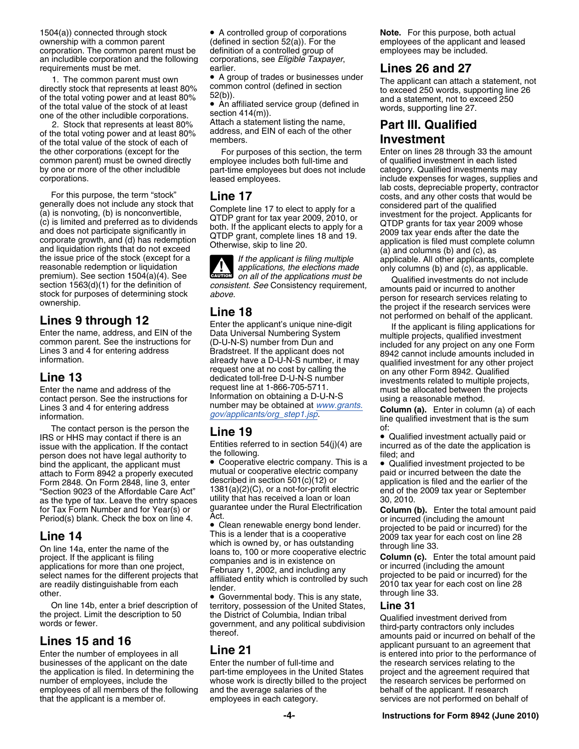1504(a)) connected through stock • A controlled group of corporations **Note.** For this purpose, both actual ownership with a common parent (defined in section 52(a)). For the exployees of the applicant and leas corporation corporation. The common parent must be definition of a controlled group of an includible corporation and the following corporations, see Eligible Taxpayer, an includible corporation and the following corporations, requirements must be met. requirements must be met.<br>**1.** The common parent must own **COLOGY** A group of trades or businesses under<br>**1.** The common parent must own **COLOGY COLOGY** The annivorm of trades or A group of trades or businesses under

1. The common parent must own <br>directly stock that represents at least 80% common control (defined in section<br>of the total voting power and at least 80%  $52(b)$ .<br>of the total value of the stock of at least<br>of the total val

2. Stock that represents at least 80% Attach a statement listing the name,<br>he total voting power and at least 80% address, and EIN of each of the other of the total voting power and at least 80% address, and EIN of each of the other of the total value of the stock of each of members. **Investment** the other corporations (except for the For purposes of this section, the term Enter on lines 28 through 33 the amount<br>common parent) must be owned directly employee includes both full-time and of qualified investment in ea

For this purpose, the term "stock"<br>
(a) is nonvoting, (b) is nonconvertible,<br>
(c) is limited and preferred as to dividends<br>
(c) is limited and preferred as to dividends<br>
(c) is limited and preferred as to dividends<br>
(c) is

The contact person is the person the **Line 19** IRS or HHS may contact if there is an **Line 19** IRS or HHS may contact if there is an **Findment actually paid or** Gualified investment actually paid or section 54(j)(4) are in issue with the application. If the contact Entities referred to in section 54(j)(4) are incurred as of the date the application in person does not have legal authority to the following.<br>bind the applicant, the applicant mu bind the applicant, the applicant must • Cooperative electric company. This is a • Qualified investment projected to be attach to Form 8942 a properly executed mutual or cooperative electric company paid or incurred between the date the Form 2848. On Form 2848, line 3, enter described in section 501(c)(12) or<br>
The Care Active of the Affordable Care Act<sup>r</sup> 1381(a)(2)(C), or a not-for-profit electric end of the 2009 tax year or September<br>
The Section 9023 o "Section 9023 of the Affordable Care Act"  $1381(a)(2)(C)$ , or a not-for-profit electric end of the 2009 tax J eave the entry spaces utility that has received a loan or loan 30, 2010. as the type of tax. Leave the entry spaces utility that has received a loan or loan<br>for Tax Form Number and for Year(s) or guarantee under the Rural Electrification

businesses of the applicant on the date Enter the number of full-time and the research services relating to the<br>the application is filed. In determining the part-time employees in the United States project and the agreemen number of employees, include the whose work is directly billed to the project the research services be performed on<br>employees of all members of the following and the average salaries of the behalf of the applicant. If rese employees of all members of the following<br>that the applicant is a member of.

of the total value of the stock of at least<br>one of the other includible corporations.<br>
2. Stock that represents at least 80% Attach a statement listing the name,<br> **Part III. Qualified** 

common parent) must be owned directly employee includes both full-time and of qualified investment in each listed<br>by one or more of the other includible part-time employees but does not include category. Qualified investme by one or more of the other includible part-time employees but does not include corporations.

**ALL**<br>CAUTION

**LINE 13** dedicated toll-free D-U-N-S number investments related to multiple projects,<br>
Enter the name and address of the request line at 1-866-705-5711. must be allocated between the projects<br>
contact person. See the inst

14<br>
This is a lender that is a cooperative<br>
on line 14a, enter the name of the<br>
project. If the applicant is filing<br>
project. If the applicant is filing<br>
project. If the applicant is filing<br>
project. If the applicant is f

 Governmental body. This is any state, On line 14b, enter a brief description of territory, possession of the United States, **Line 31**

part-time employees in the United States

employees of the applicant and leased<br>employees may be included.

include expenses for wages, supplies and<br>lab costs, depreciable property, contractor<br>costs, and any other costs that would be

Section 1563(d)(1) for the definition of<br>section 1563(d) for the definition of<br>stock for purposes of determining stock<br>above.<br>Consistency requirement,<br>above.<br>Consistency requirement,<br>above.<br>Consistency requirement,<br>person

Lines 3 and 4 for entering address number may be obtained at <u>www.grants</u><br>information.<br>The contact person is the person the **Line 10**<br>The contact person is the person the **Line 10**<br>of:

for Tax Form Number and for Year(s) or guarantee under the Hural Electrification **Column (b).** Enter the total amount paid<br>Period(s) blank. Check the box on line 4. Act. **Action assessment bend to all and the amount** or in Period(s) blank. Check the box on line 4. Act.<br>Clean renewable energy bond lender. or incurred (including the amount projected to be paid or incurred) for the

the project. Limit the description to 50 the District of Columbia, Indian tribal words or fewer.<br>
words or fewer.<br> **Lines 15 and 16** the mumber of employees in all **Line 21** the **21** the restance of the projective of the p Enter the number of employees in all **LINE 21** is entered into prior to the performance businesses of the applicant on the date Enter the number of full-time and the research services relating to the services are not performed on behalf of.